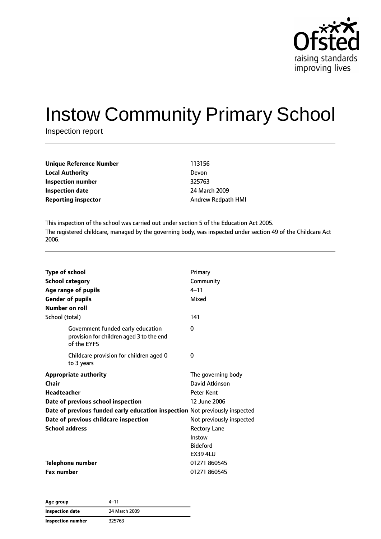

# Instow Community Primary School

Inspection report

| Unique Reference Number    | 113156             |
|----------------------------|--------------------|
| Local Authority            | Devon              |
| Inspection number          | 325763             |
| Inspection date            | 24 March 2009      |
| <b>Reporting inspector</b> | Andrew Redpath HMI |
|                            |                    |

This inspection of the school was carried out under section 5 of the Education Act 2005. The registered childcare, managed by the governing body, was inspected under section 49 of the Childcare Act 2006.

| <b>Type of school</b><br><b>School category</b><br>Age range of pupils<br><b>Gender of pupils</b><br>Number on roll | Primary<br>Community<br>$4 - 11$<br>Mixed<br>141 |  |
|---------------------------------------------------------------------------------------------------------------------|--------------------------------------------------|--|
| School (total)<br>Government funded early education                                                                 | 0                                                |  |
| provision for children aged 3 to the end<br>of the EYFS                                                             |                                                  |  |
| Childcare provision for children aged 0<br>to 3 years                                                               | 0                                                |  |
| Appropriate authority                                                                                               | The governing body                               |  |
| Chair                                                                                                               | David Atkinson                                   |  |
| <b>Headteacher</b>                                                                                                  | <b>Peter Kent</b>                                |  |
| Date of previous school inspection                                                                                  | 12 June 2006                                     |  |
| Date of previous funded early education inspection Not previously inspected                                         |                                                  |  |
| Date of previous childcare inspection                                                                               | Not previously inspected                         |  |
| <b>School address</b>                                                                                               | <b>Rectory Lane</b>                              |  |
|                                                                                                                     | Instow                                           |  |
|                                                                                                                     | <b>Bideford</b>                                  |  |
|                                                                                                                     | <b>EX39 4LU</b>                                  |  |
| Telephone number                                                                                                    | 01271 860545                                     |  |
| <b>Fax number</b>                                                                                                   | 01271 860545                                     |  |

| Age group         | 4–11          |  |
|-------------------|---------------|--|
| Inspection date   | 24 March 2009 |  |
| Inspection number | 325763        |  |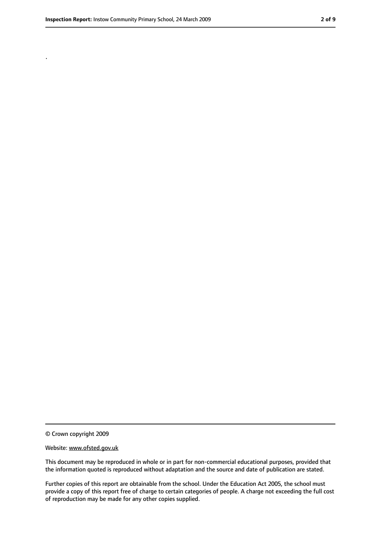.

<sup>©</sup> Crown copyright 2009

Website: www.ofsted.gov.uk

This document may be reproduced in whole or in part for non-commercial educational purposes, provided that the information quoted is reproduced without adaptation and the source and date of publication are stated.

Further copies of this report are obtainable from the school. Under the Education Act 2005, the school must provide a copy of this report free of charge to certain categories of people. A charge not exceeding the full cost of reproduction may be made for any other copies supplied.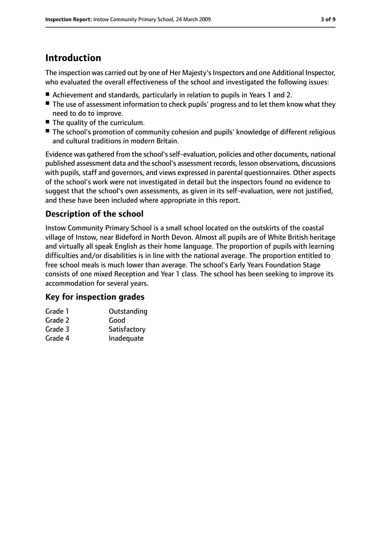# **Introduction**

The inspection was carried out by one of Her Majesty's Inspectors and one Additional Inspector, who evaluated the overall effectiveness of the school and investigated the following issues:

- Achievement and standards, particularly in relation to pupils in Years 1 and 2.
- The use of assessment information to check pupils' progress and to let them know what they need to do to improve.
- The quality of the curriculum.
- The school's promotion of community cohesion and pupils' knowledge of different religious and cultural traditions in modern Britain.

Evidence was gathered from the school'sself-evaluation, policies and other documents, national published assessment data and the school's assessment records, lesson observations, discussions with pupils, staff and governors, and views expressed in parental questionnaires. Other aspects of the school's work were not investigated in detail but the inspectors found no evidence to suggest that the school's own assessments, as given in its self-evaluation, were not justified, and these have been included where appropriate in this report.

### **Description of the school**

Instow Community Primary School is a small school located on the outskirts of the coastal village of Instow, near Bideford in North Devon. Almost all pupils are of White British heritage and virtually all speak English as their home language. The proportion of pupils with learning difficulties and/or disabilities is in line with the national average. The proportion entitled to free school meals is much lower than average. The school's Early Years Foundation Stage consists of one mixed Reception and Year 1 class. The school has been seeking to improve its accommodation for several years.

### **Key for inspection grades**

| Grade 1 | Outstanding  |
|---------|--------------|
| Grade 2 | Good         |
| Grade 3 | Satisfactory |
| Grade 4 | Inadequate   |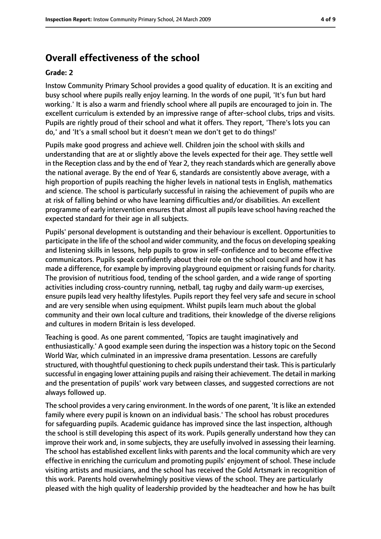### **Overall effectiveness of the school**

#### **Grade: 2**

Instow Community Primary School provides a good quality of education. It is an exciting and busy school where pupils really enjoy learning. In the words of one pupil, 'It's fun but hard working.' It is also a warm and friendly school where all pupils are encouraged to join in. The excellent curriculum is extended by an impressive range of after-school clubs, trips and visits. Pupils are rightly proud of their school and what it offers. They report, 'There's lots you can do,' and 'It's a small school but it doesn't mean we don't get to do things!'

Pupils make good progress and achieve well. Children join the school with skills and understanding that are at or slightly above the levels expected for their age. They settle well in the Reception class and by the end of Year 2, they reach standards which are generally above the national average. By the end of Year 6, standards are consistently above average, with a high proportion of pupils reaching the higher levels in national tests in English, mathematics and science. The school is particularly successful in raising the achievement of pupils who are at risk of falling behind or who have learning difficulties and/or disabilities. An excellent programme of early intervention ensures that almost all pupils leave school having reached the expected standard for their age in all subjects.

Pupils' personal development is outstanding and their behaviour is excellent. Opportunities to participate in the life of the school and wider community, and the focus on developing speaking and listening skills in lessons, help pupils to grow in self-confidence and to become effective communicators. Pupils speak confidently about their role on the school council and how it has made a difference, for example by improving playground equipment or raising funds for charity. The provision of nutritious food, tending of the school garden, and a wide range of sporting activities including cross-country running, netball, tag rugby and daily warm-up exercises, ensure pupils lead very healthy lifestyles. Pupils report they feel very safe and secure in school and are very sensible when using equipment. Whilst pupils learn much about the global community and their own local culture and traditions, their knowledge of the diverse religions and cultures in modern Britain is less developed.

Teaching is good. As one parent commented, 'Topics are taught imaginatively and enthusiastically.' A good example seen during the inspection was a history topic on the Second World War, which culminated in an impressive drama presentation. Lessons are carefully structured, with thoughtful questioning to check pupils understand their task. This is particularly successful in engaging lower attaining pupils and raising their achievement. The detail in marking and the presentation of pupils' work vary between classes, and suggested corrections are not always followed up.

The school provides a very caring environment. In the words of one parent, 'It is like an extended family where every pupil is known on an individual basis.' The school has robust procedures for safeguarding pupils. Academic guidance has improved since the last inspection, although the school is still developing this aspect of its work. Pupils generally understand how they can improve their work and, in some subjects, they are usefully involved in assessing their learning. The school has established excellent links with parents and the local community which are very effective in enriching the curriculum and promoting pupils' enjoyment of school. These include visiting artists and musicians, and the school has received the Gold Artsmark in recognition of this work. Parents hold overwhelmingly positive views of the school. They are particularly pleased with the high quality of leadership provided by the headteacher and how he has built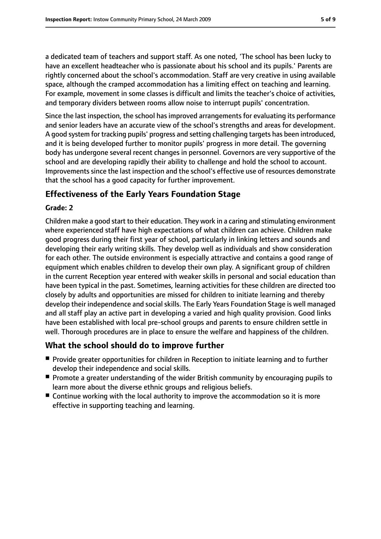a dedicated team of teachers and support staff. As one noted, 'The school has been lucky to have an excellent headteacher who is passionate about his school and its pupils.' Parents are rightly concerned about the school's accommodation. Staff are very creative in using available space, although the cramped accommodation has a limiting effect on teaching and learning. For example, movement in some classes is difficult and limits the teacher's choice of activities, and temporary dividers between rooms allow noise to interrupt pupils' concentration.

Since the last inspection, the school has improved arrangements for evaluating its performance and senior leaders have an accurate view of the school's strengths and areas for development. A good system for tracking pupils' progress and setting challenging targets has been introduced, and it is being developed further to monitor pupils' progress in more detail. The governing body has undergone several recent changes in personnel. Governors are very supportive of the school and are developing rapidly their ability to challenge and hold the school to account. Improvements since the last inspection and the school's effective use of resources demonstrate that the school has a good capacity for further improvement.

### **Effectiveness of the Early Years Foundation Stage**

#### **Grade: 2**

Children make a good start to their education. They work in a caring and stimulating environment where experienced staff have high expectations of what children can achieve. Children make good progress during their first year of school, particularly in linking letters and sounds and developing their early writing skills. They develop well as individuals and show consideration for each other. The outside environment is especially attractive and contains a good range of equipment which enables children to develop their own play. A significant group of children in the current Reception year entered with weaker skills in personal and social education than have been typical in the past. Sometimes, learning activities for these children are directed too closely by adults and opportunities are missed for children to initiate learning and thereby develop their independence and social skills. The Early Years Foundation Stage is well managed and all staff play an active part in developing a varied and high quality provision. Good links have been established with local pre-school groups and parents to ensure children settle in well. Thorough procedures are in place to ensure the welfare and happiness of the children.

### **What the school should do to improve further**

- Provide greater opportunities for children in Reception to initiate learning and to further develop their independence and social skills.
- Promote a greater understanding of the wider British community by encouraging pupils to learn more about the diverse ethnic groups and religious beliefs.
- Continue working with the local authority to improve the accommodation so it is more effective in supporting teaching and learning.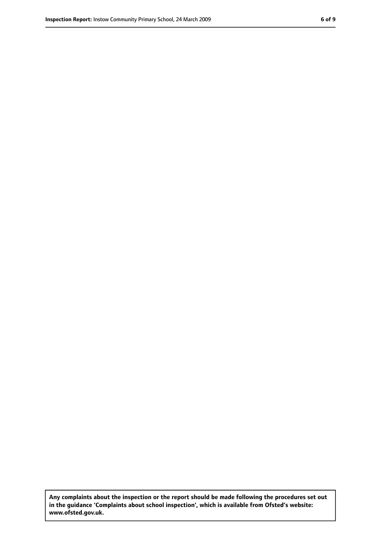**Any complaints about the inspection or the report should be made following the procedures set out in the guidance 'Complaints about school inspection', which is available from Ofsted's website: www.ofsted.gov.uk.**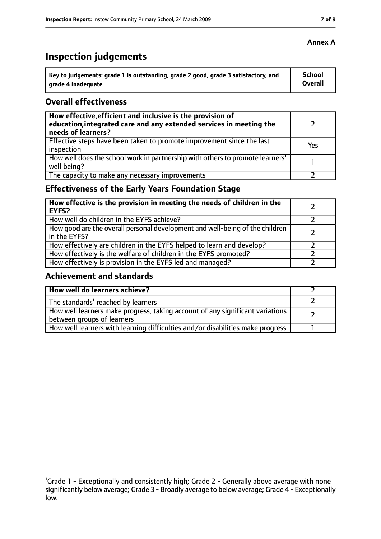# **Inspection judgements**

| Key to judgements: grade 1 is outstanding, grade 2 good, grade 3 satisfactory, and | School  |
|------------------------------------------------------------------------------------|---------|
| arade 4 inadequate                                                                 | Overall |

### **Overall effectiveness**

| How effective, efficient and inclusive is the provision of<br>education, integrated care and any extended services in meeting the<br>needs of learners? |     |
|---------------------------------------------------------------------------------------------------------------------------------------------------------|-----|
| Effective steps have been taken to promote improvement since the last<br>inspection                                                                     | Yes |
| How well does the school work in partnership with others to promote learners'<br>well being?                                                            |     |
| The capacity to make any necessary improvements                                                                                                         |     |

### **Effectiveness of the Early Years Foundation Stage**

| How effective is the provision in meeting the needs of children in the<br><b>EYFS?</b>       |  |
|----------------------------------------------------------------------------------------------|--|
| How well do children in the EYFS achieve?                                                    |  |
| How good are the overall personal development and well-being of the children<br>in the EYFS? |  |
| How effectively are children in the EYFS helped to learn and develop?                        |  |
| How effectively is the welfare of children in the EYFS promoted?                             |  |
| How effectively is provision in the EYFS led and managed?                                    |  |

### **Achievement and standards**

| How well do learners achieve?                                                                               |  |
|-------------------------------------------------------------------------------------------------------------|--|
| The standards <sup>1</sup> reached by learners                                                              |  |
| How well learners make progress, taking account of any significant variations<br>between groups of learners |  |
| How well learners with learning difficulties and/or disabilities make progress                              |  |

<sup>&</sup>lt;sup>1</sup>Grade 1 - Exceptionally and consistently high; Grade 2 - Generally above average with none significantly below average; Grade 3 - Broadly average to below average; Grade 4 - Exceptionally low.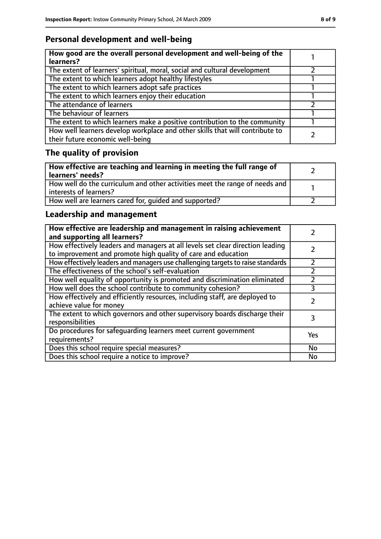### **Personal development and well-being**

| How good are the overall personal development and well-being of the<br>learners?                                 |  |
|------------------------------------------------------------------------------------------------------------------|--|
| The extent of learners' spiritual, moral, social and cultural development                                        |  |
| The extent to which learners adopt healthy lifestyles                                                            |  |
| The extent to which learners adopt safe practices                                                                |  |
| The extent to which learners enjoy their education                                                               |  |
| The attendance of learners                                                                                       |  |
| The behaviour of learners                                                                                        |  |
| The extent to which learners make a positive contribution to the community                                       |  |
| How well learners develop workplace and other skills that will contribute to<br>their future economic well-being |  |

## **The quality of provision**

| How effective are teaching and learning in meeting the full range of<br>learners' needs?              |  |
|-------------------------------------------------------------------------------------------------------|--|
| How well do the curriculum and other activities meet the range of needs and<br>interests of learners? |  |
| How well are learners cared for, quided and supported?                                                |  |

### **Leadership and management**

| How effective are leadership and management in raising achievement<br>and supporting all learners?                                              |     |
|-------------------------------------------------------------------------------------------------------------------------------------------------|-----|
| How effectively leaders and managers at all levels set clear direction leading<br>to improvement and promote high quality of care and education |     |
| How effectively leaders and managers use challenging targets to raise standards                                                                 |     |
| The effectiveness of the school's self-evaluation                                                                                               |     |
| How well equality of opportunity is promoted and discrimination eliminated                                                                      |     |
| How well does the school contribute to community cohesion?                                                                                      | 3   |
| How effectively and efficiently resources, including staff, are deployed to<br>achieve value for money                                          |     |
| The extent to which governors and other supervisory boards discharge their<br>responsibilities                                                  |     |
| Do procedures for safeguarding learners meet current government<br>requirements?                                                                | Yes |
| Does this school require special measures?                                                                                                      | No  |
| Does this school require a notice to improve?                                                                                                   | No  |